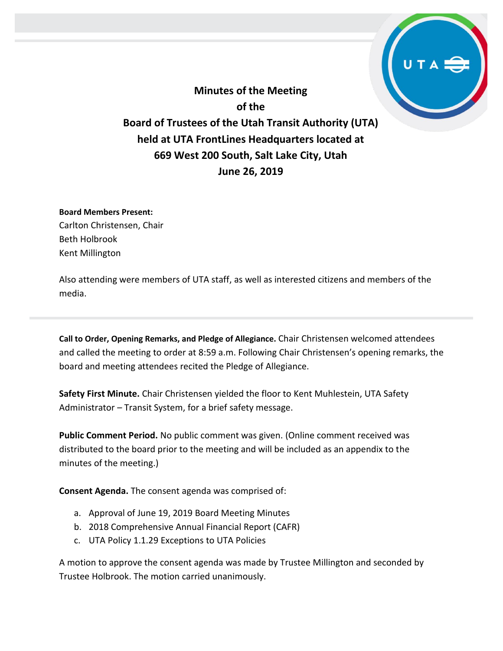**Minutes of the Meeting of the Board of Trustees of the Utah Transit Authority (UTA) held at UTA FrontLines Headquarters located at 669 West 200 South, Salt Lake City, Utah June 26, 2019**

**Board Members Present:**

Carlton Christensen, Chair Beth Holbrook Kent Millington

Also attending were members of UTA staff, as well as interested citizens and members of the media.

**Call to Order, Opening Remarks, and Pledge of Allegiance.** Chair Christensen welcomed attendees and called the meeting to order at 8:59 a.m. Following Chair Christensen's opening remarks, the board and meeting attendees recited the Pledge of Allegiance.

**Safety First Minute.** Chair Christensen yielded the floor to Kent Muhlestein, UTA Safety Administrator – Transit System, for a brief safety message.

**Public Comment Period.** No public comment was given. (Online comment received was distributed to the board prior to the meeting and will be included as an appendix to the minutes of the meeting.)

**Consent Agenda.** The consent agenda was comprised of:

- a. Approval of June 19, 2019 Board Meeting Minutes
- b. 2018 Comprehensive Annual Financial Report (CAFR)
- c. UTA Policy 1.1.29 Exceptions to UTA Policies

A motion to approve the consent agenda was made by Trustee Millington and seconded by Trustee Holbrook. The motion carried unanimously.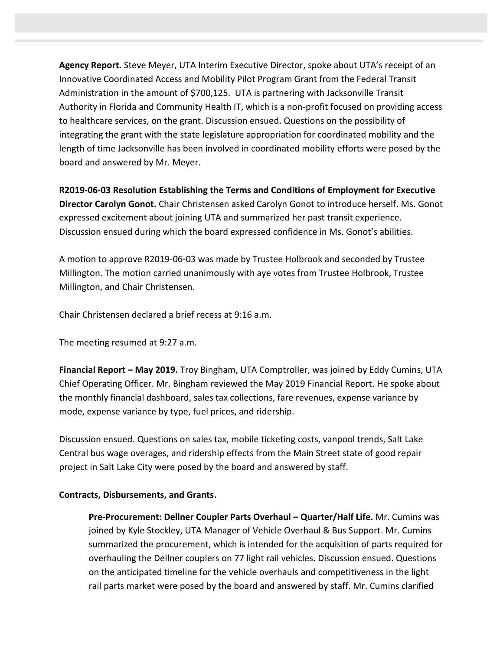**Agency Report.** Steve Meyer, UTA Interim Executive Director, spoke about UTA's receipt of an Innovative Coordinated Access and Mobility Pilot Program Grant from the Federal Transit Administration in the amount of \$700,125. UTA is partnering with Jacksonville Transit Authority in Florida and Community Health IT, which is a non-profit focused on providing access to healthcare services, on the grant. Discussion ensued. Questions on the possibility of integrating the grant with the state legislature appropriation for coordinated mobility and the length of time Jacksonville has been involved in coordinated mobility efforts were posed by the board and answered by Mr. Meyer.

**R2019-06-03 Resolution Establishing the Terms and Conditions of Employment for Executive Director Carolyn Gonot.** Chair Christensen asked Carolyn Gonot to introduce herself. Ms. Gonot expressed excitement about joining UTA and summarized her past transit experience. Discussion ensued during which the board expressed confidence in Ms. Gonot's abilities.

A motion to approve R2019-06-03 was made by Trustee Holbrook and seconded by Trustee Millington. The motion carried unanimously with aye votes from Trustee Holbrook, Trustee Millington, and Chair Christensen.

Chair Christensen declared a brief recess at 9:16 a.m.

The meeting resumed at 9:27 a.m.

**Financial Report – May 2019.** Troy Bingham, UTA Comptroller, was joined by Eddy Cumins, UTA Chief Operating Officer. Mr. Bingham reviewed the May 2019 Financial Report. He spoke about the monthly financial dashboard, sales tax collections, fare revenues, expense variance by mode, expense variance by type, fuel prices, and ridership.

Discussion ensued. Questions on sales tax, mobile ticketing costs, vanpool trends, Salt Lake Central bus wage overages, and ridership effects from the Main Street state of good repair project in Salt Lake City were posed by the board and answered by staff.

# **Contracts, Disbursements, and Grants.**

**Pre-Procurement: Dellner Coupler Parts Overhaul – Quarter/Half Life.** Mr. Cumins was joined by Kyle Stockley, UTA Manager of Vehicle Overhaul & Bus Support. Mr. Cumins summarized the procurement, which is intended for the acquisition of parts required for overhauling the Dellner couplers on 77 light rail vehicles. Discussion ensued. Questions on the anticipated timeline for the vehicle overhauls and competitiveness in the light rail parts market were posed by the board and answered by staff. Mr. Cumins clarified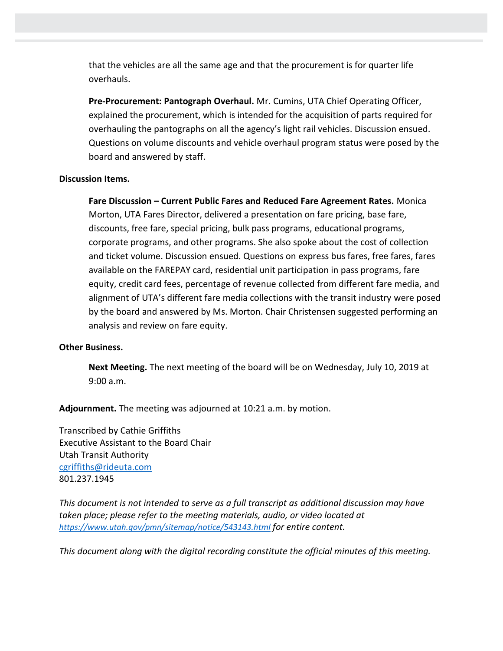that the vehicles are all the same age and that the procurement is for quarter life overhauls.

**Pre-Procurement: Pantograph Overhaul.** Mr. Cumins, UTA Chief Operating Officer, explained the procurement, which is intended for the acquisition of parts required for overhauling the pantographs on all the agency's light rail vehicles. Discussion ensued. Questions on volume discounts and vehicle overhaul program status were posed by the board and answered by staff.

# **Discussion Items.**

**Fare Discussion – Current Public Fares and Reduced Fare Agreement Rates.** Monica Morton, UTA Fares Director, delivered a presentation on fare pricing, base fare, discounts, free fare, special pricing, bulk pass programs, educational programs, corporate programs, and other programs. She also spoke about the cost of collection and ticket volume. Discussion ensued. Questions on express bus fares, free fares, fares available on the FAREPAY card, residential unit participation in pass programs, fare equity, credit card fees, percentage of revenue collected from different fare media, and alignment of UTA's different fare media collections with the transit industry were posed by the board and answered by Ms. Morton. Chair Christensen suggested performing an analysis and review on fare equity.

# **Other Business.**

**Next Meeting.** The next meeting of the board will be on Wednesday, July 10, 2019 at 9:00 a.m.

**Adjournment.** The meeting was adjourned at 10:21 a.m. by motion.

Transcribed by Cathie Griffiths Executive Assistant to the Board Chair Utah Transit Authority [cgriffiths@rideuta.com](mailto:cgriffiths@rideuta.com) 801.237.1945

*This document is not intended to serve as a full transcript as additional discussion may have taken place; please refer to the meeting materials, audio, or video located at <https://www.utah.gov/pmn/sitemap/notice/543143.html> for entire content.*

*This document along with the digital recording constitute the official minutes of this meeting.*